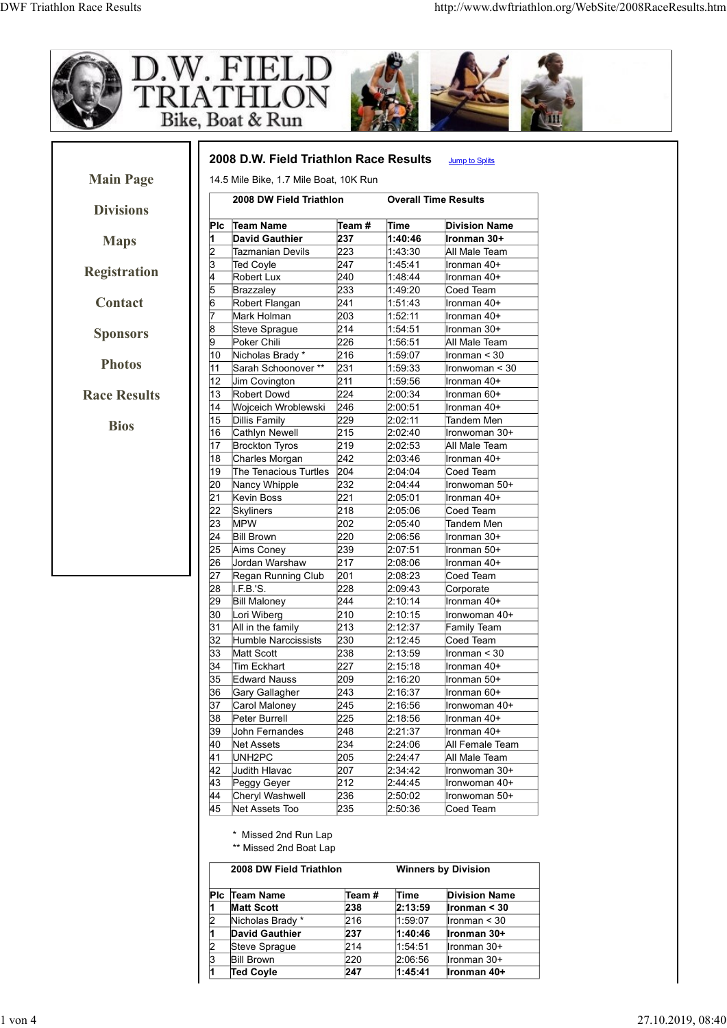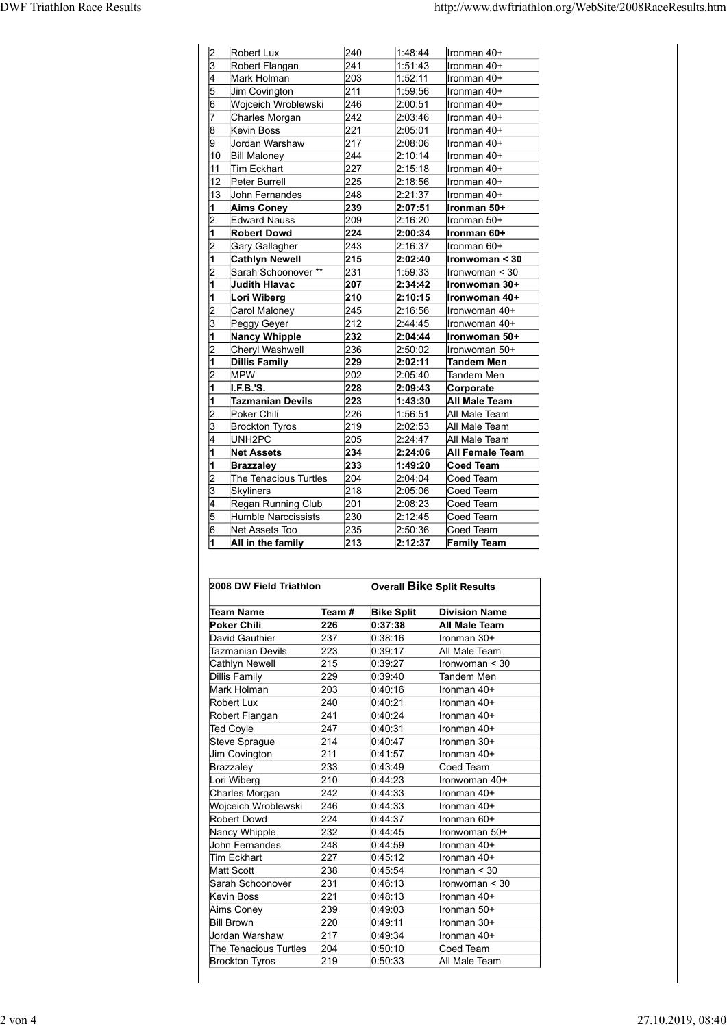| <b>DWF Triathlon Race Results</b> |                 |                                                                                                                                  |                                    |                                                                                                    |                                                                                            |
|-----------------------------------|-----------------|----------------------------------------------------------------------------------------------------------------------------------|------------------------------------|----------------------------------------------------------------------------------------------------|--------------------------------------------------------------------------------------------|
|                                   |                 |                                                                                                                                  |                                    |                                                                                                    |                                                                                            |
|                                   |                 |                                                                                                                                  |                                    |                                                                                                    |                                                                                            |
|                                   |                 |                                                                                                                                  |                                    |                                                                                                    |                                                                                            |
|                                   |                 |                                                                                                                                  |                                    |                                                                                                    |                                                                                            |
|                                   |                 |                                                                                                                                  |                                    |                                                                                                    |                                                                                            |
|                                   |                 |                                                                                                                                  |                                    |                                                                                                    | http://www.dwftriathlon.org/WebSite/2008RaceResults.htm                                    |
|                                   | $\vert$ 2       | Robert Lux                                                                                                                       | 240                                | 1:48:44                                                                                            | Ironman 40+                                                                                |
|                                   | 13              | Robert Flangan                                                                                                                   | 241                                | 1:51:43                                                                                            | Ironman 40+                                                                                |
|                                   |                 | Mark Holman                                                                                                                      | 203<br>211                         | 1:52:11<br>1:59:56                                                                                 | Ironman 40+                                                                                |
|                                   |                 | Jim Covington<br>Wojceich Wroblewski                                                                                             | 246                                | 2:00:51                                                                                            | Ironman 40+<br>Ironman 40+                                                                 |
|                                   |                 | Charles Morgan                                                                                                                   | 242                                | 2:03:46                                                                                            | Ironman 40+                                                                                |
|                                   | 18              | Kevin Boss                                                                                                                       | 221                                | 2:05:01                                                                                            | Ironman 40+                                                                                |
|                                   |                 | Jordan Warshaw                                                                                                                   | 217                                | 2:08:06                                                                                            | Ironman 40+                                                                                |
|                                   | 10              | <b>Bill Maloney</b>                                                                                                              | 244                                | 2:10:14                                                                                            | Ironman 40+                                                                                |
|                                   | 11              | Tim Eckhart                                                                                                                      | 227                                | 2:15:18                                                                                            | Ironman 40+                                                                                |
|                                   | 12 <sup>°</sup> | Peter Burrell                                                                                                                    | 225                                | 2:18:56                                                                                            | Ironman 40+                                                                                |
|                                   | 13              | John Fernandes                                                                                                                   | 248<br>239                         | 2:21:37<br>2:07:51                                                                                 | Ironman 40+                                                                                |
|                                   | 12              | <b>Aims Coney</b><br><b>Edward Nauss</b>                                                                                         | 209                                | 2:16:20                                                                                            | Ironman 50+<br>Ironman 50+                                                                 |
|                                   | 11              | <b>Robert Dowd</b>                                                                                                               | 224                                | 2:00:34                                                                                            | Ironman 60+                                                                                |
|                                   | 2               | Gary Gallagher                                                                                                                   | 243                                | 2:16:37                                                                                            | Ironman 60+                                                                                |
|                                   |                 | <b>Cathlyn Newell</b>                                                                                                            | 215                                | 2:02:40                                                                                            | Ironwoman < 30                                                                             |
|                                   | 12              | Sarah Schoonover **                                                                                                              | 231                                | 1:59:33                                                                                            | Ironwoman < 30                                                                             |
|                                   |                 | Judith Hlavac                                                                                                                    | 207                                | 2:34:42                                                                                            | Ironwoman 30+                                                                              |
|                                   |                 | Lori Wiberg<br>Carol Maloney                                                                                                     | 210<br>245                         | 2:10:15<br>2:16:56                                                                                 | Ironwoman 40+<br>Ironwoman 40+                                                             |
|                                   | l3              | Peggy Geyer                                                                                                                      | 212                                | 2:44:45                                                                                            | Ironwoman 40+                                                                              |
|                                   |                 | Nancy Whipple                                                                                                                    | 232                                | 2:04:44                                                                                            | Ironwoman 50+                                                                              |
|                                   | 2               | Cheryl Washwell                                                                                                                  | 236                                | 2:50:02                                                                                            | Ironwoman 50+                                                                              |
|                                   |                 | <b>Dillis Family</b>                                                                                                             | 229                                | 2:02:11                                                                                            | <b>Tandem Men</b>                                                                          |
|                                   | 12              | <b>MPW</b>                                                                                                                       | 202                                | 2:05:40                                                                                            | Tandem Men                                                                                 |
|                                   |                 | I.F.B.'S.                                                                                                                        | 228                                | 2:09:43                                                                                            | Corporate                                                                                  |
|                                   |                 | <b>Tazmanian Devils</b>                                                                                                          | 223                                | 1:43:30                                                                                            | <b>All Male Team</b>                                                                       |
|                                   | 13              | Poker Chili<br><b>Brockton Tyros</b>                                                                                             | 226<br>219                         | 1:56:51<br>2:02:53                                                                                 | All Male Team<br>All Male Team                                                             |
|                                   |                 | UNH <sub>2</sub> PC                                                                                                              | 205                                | 2:24:47                                                                                            | All Male Team                                                                              |
|                                   |                 | <b>Net Assets</b>                                                                                                                | 234                                | 2:24:06                                                                                            | <b>All Female Team</b>                                                                     |
|                                   |                 | <b>Brazzaley</b>                                                                                                                 | 233                                | 1:49:20                                                                                            | Coed Team                                                                                  |
|                                   |                 | The Tenacious Turtles                                                                                                            | 204                                | 2:04:04                                                                                            | Coed Team                                                                                  |
|                                   | 3               | Skyliners                                                                                                                        | 218                                | 2:05:06                                                                                            | Coed Team                                                                                  |
|                                   |                 | Regan Running Club                                                                                                               | 201                                | 2:08:23                                                                                            | Coed Team                                                                                  |
|                                   | 5<br>16         | Humble Narccissists<br>Net Assets Too                                                                                            | 230<br>235                         | 2:12:45<br>2:50:36                                                                                 | Coed Team<br>Coed Team                                                                     |
|                                   |                 | All in the family                                                                                                                | 213                                | 2:12:37                                                                                            | <b>Family Team</b>                                                                         |
|                                   |                 | 2008 DW Field Triathlon<br><b>Team Name</b><br><b>Poker Chili</b><br>David Gauthier<br><b>Tazmanian Devils</b><br>Cathlyn Newell | Team #<br>226<br>237<br>223<br>215 | <b>Overall Bike Split Results</b><br><b>Bike Split</b><br>0:37:38<br>0:38:16<br>0:39:17<br>0:39:27 | <b>Division Name</b><br>All Male Team<br>Ironman 30+<br>All Male Team<br>$l$ ronwoman < 30 |
|                                   |                 |                                                                                                                                  | 229                                |                                                                                                    |                                                                                            |
|                                   |                 | Dillis Family<br>Mark Holman                                                                                                     | 203                                | 0:39:40<br>0:40:16                                                                                 | Tandem Men<br>Ironman 40+                                                                  |
|                                   |                 | Robert Lux                                                                                                                       | 240                                | 0:40:21                                                                                            | Ironman 40+                                                                                |
|                                   |                 | Robert Flangan                                                                                                                   | 241                                | 0:40:24                                                                                            | Ironman 40+                                                                                |
|                                   |                 |                                                                                                                                  | 247                                | 0:40:31                                                                                            | Ironman 40+                                                                                |
|                                   |                 | <b>Ted Coyle</b>                                                                                                                 |                                    |                                                                                                    |                                                                                            |
|                                   |                 | Steve Sprague<br>lim Covington                                                                                                   | 214<br>211                         | 0:40:47<br>0.41.57                                                                                 | Ironman 30+<br>$l$ ronman $40+$                                                            |

| $\overline{2}$          | <b>MPW</b>                       |                  | 202                | 2:05:40           | Tandem Men                        |
|-------------------------|----------------------------------|------------------|--------------------|-------------------|-----------------------------------|
| 1                       | I.F.B.'S.                        |                  | 228                | 2:09:43           | Corporate                         |
| 1                       | <b>Tazmanian Devils</b>          |                  | 223                | 1:43:30           | <b>All Male Team</b>              |
| $\overline{2}$          | Poker Chili                      |                  | 226                | 1:56:51           | All Male Team                     |
| 3                       | <b>Brockton Tyros</b>            |                  | 219                | 2:02:53           | All Male Team                     |
| 4                       | UNH <sub>2</sub> PC              |                  | 205                | 2:24:47           | All Male Team                     |
| $\mathbf{1}$            | <b>Net Assets</b>                |                  | 234                | 2:24:06           | All Female Team                   |
| 1                       | <b>Brazzaley</b>                 |                  | 233                | 1:49:20           | <b>Coed Team</b>                  |
| $\overline{2}$          | The Tenacious Turtles            |                  | 204                | 2:04:04           | Coed Team                         |
| $\overline{3}$          | Skyliners                        |                  | 218                | 2:05:06           | Coed Team                         |
| 4                       | Regan Running Club               |                  | 201                | 2:08:23           | Coed Team                         |
| 5                       | Humble Narccissists              |                  | 230                | 2:12:45           | Coed Team                         |
| 6                       | Net Assets Too                   |                  | 235                | 2:50:36           | Coed Team                         |
| $\overline{\mathbf{1}}$ | All in the family                |                  | 213                | 2:12:37           | <b>Family Team</b>                |
|                         | 2008 DW Field Triathlon          |                  |                    |                   | <b>Overall Bike Split Results</b> |
|                         | <b>Team Name</b>                 | Team#            |                    | <b>Bike Split</b> | <b>Division Name</b>              |
|                         | <b>Poker Chili</b>               | 226              | 0:37:38            |                   | All Male Team                     |
|                         | David Gauthier                   | 237              | 0:38:16            |                   | Ironman 30+                       |
|                         | <b>Tazmanian Devils</b>          | 223              | 0:39:17            |                   | All Male Team                     |
|                         | Cathlyn Newell                   | 215              | 0:39:27            |                   | $\sqrt{\text{Ironwoman}}$ < 30    |
|                         | <b>Dillis Family</b>             | 229              | 0.39.40            |                   | Tandem Men                        |
|                         | Mark Holman                      | 203              | 0:40:16            |                   | ∥ronman 40+                       |
|                         | Robert Lux                       | 240              | 0:40:21            |                   | Ironman 40+                       |
|                         | Robert Flangan                   | 241              | 0:40:24            |                   | Ironman 40+                       |
|                         | <b>Ted Coyle</b>                 | 247              | 0:40:31            |                   | Ironman 40+                       |
|                         | Steve Sprague                    | 214              | 0:40:47            |                   | ∥ronman 30+                       |
|                         | Jim Covington                    | 211              | 0:41:57            |                   | Ironman 40+                       |
|                         | Brazzaley                        | 233              | 0:43:49            |                   | Coed Team                         |
|                         |                                  | $\overline{2}10$ |                    |                   |                                   |
|                         | Lori Wiberg                      |                  | 0:44:23            |                   | Ironwoman 40+                     |
|                         | Charles Morgan                   | 242              | 0:44:33            |                   | Ironman 40+                       |
|                         | Wojceich Wroblewski              | 246              | 0:44:33            |                   | ∥ronman 40+                       |
|                         | <b>Robert Dowd</b>               | 224              | 0:44:37            |                   | Ironman 60+                       |
|                         | Nancy Whipple                    | 232              | 0:44:45            |                   | Ironwoman 50+                     |
|                         | John Fernandes                   | 248              | 0:44:59            |                   | Ironman 40+<br>Ironman 40+        |
|                         | Tim Eckhart<br><b>Matt Scott</b> | 227              | 0:45:12            |                   | Ironman < 30                      |
|                         |                                  | 238              | 0:45:54            |                   |                                   |
|                         | Sarah Schoonover                 | 231              | 0:46:13            |                   | Ironwoman < 30                    |
|                         | Kevin Boss                       | 221              | 0:48:13            |                   | Ironman 40+                       |
|                         | Aims Coney                       | 239<br>220       | 0:49:03<br>0:49:11 |                   | Ironman 50+<br>Ironman 30+        |
|                         | <b>Bill Brown</b>                |                  |                    |                   |                                   |
|                         | Jordan Warshaw                   | 217              | 0:49:34            |                   | Ironman 40+                       |
|                         | The Tenacious Turtles            | 204<br>219       | 0:50:10<br>0:50:33 |                   | Coed Team                         |
|                         | <b>Brockton Tyros</b>            |                  |                    |                   | All Male Team                     |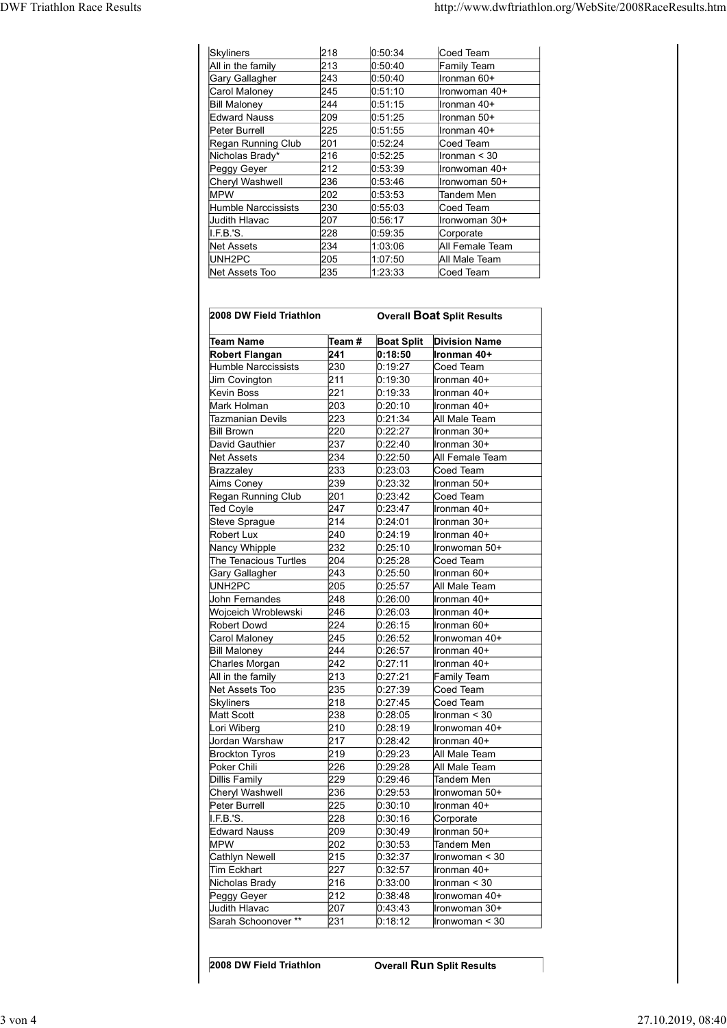| http://www.dwftriathlon.org/WebSite/2008RaceResults.htm<br>Skyliners<br>218<br>0:50:34<br>Coed Team<br>All in the family<br>213<br>0:50:40<br>Family Team<br>243<br>0.50:40<br><b>Gary Gallagher</b><br>Ironman 60+<br>245<br>0:51:10<br>Carol Maloney<br>Ironwoman 40+<br>244<br><b>Bill Maloney</b><br>0:51:15<br>Ironman 40+<br>209<br>Ironman 50+<br><b>Edward Nauss</b><br>0:51:25<br>225<br>Peter Burrell<br>0:51:55<br>Ironman 40+<br>201<br>Regan Running Club<br>0:52:24<br>Coed Team<br>216<br>0:52:25<br>Nicholas Brady*<br>Ironman $<$ 30<br>212<br>0:53:39<br>Peggy Geyer<br>Ironwoman 40+<br>236<br>Cheryl Washwell<br>0:53:46<br>Ironwoman 50+<br>202<br>0:53:53<br><b>MPW</b><br>Tandem Men<br>230<br>Humble Narccissists<br>0:55:03<br>Coed Team<br>207<br>0:56:17<br>Judith Hlavac<br>Ironwoman 30+<br>228<br>I.F.B.'S.<br>0:59:35<br>Corporate<br>234<br>All Female Team<br><b>Net Assets</b><br>1:03:06<br>UNH2PC<br>205<br>1:07:50<br>All Male Team<br>235<br>Net Assets Too<br>1:23:33<br>Coed Team |                                   |  |  |
|---------------------------------------------------------------------------------------------------------------------------------------------------------------------------------------------------------------------------------------------------------------------------------------------------------------------------------------------------------------------------------------------------------------------------------------------------------------------------------------------------------------------------------------------------------------------------------------------------------------------------------------------------------------------------------------------------------------------------------------------------------------------------------------------------------------------------------------------------------------------------------------------------------------------------------------------------------------------------------------------------------------------------|-----------------------------------|--|--|
|                                                                                                                                                                                                                                                                                                                                                                                                                                                                                                                                                                                                                                                                                                                                                                                                                                                                                                                                                                                                                           |                                   |  |  |
|                                                                                                                                                                                                                                                                                                                                                                                                                                                                                                                                                                                                                                                                                                                                                                                                                                                                                                                                                                                                                           | <b>DWF Triathlon Race Results</b> |  |  |
|                                                                                                                                                                                                                                                                                                                                                                                                                                                                                                                                                                                                                                                                                                                                                                                                                                                                                                                                                                                                                           |                                   |  |  |
|                                                                                                                                                                                                                                                                                                                                                                                                                                                                                                                                                                                                                                                                                                                                                                                                                                                                                                                                                                                                                           |                                   |  |  |
|                                                                                                                                                                                                                                                                                                                                                                                                                                                                                                                                                                                                                                                                                                                                                                                                                                                                                                                                                                                                                           |                                   |  |  |
|                                                                                                                                                                                                                                                                                                                                                                                                                                                                                                                                                                                                                                                                                                                                                                                                                                                                                                                                                                                                                           |                                   |  |  |
|                                                                                                                                                                                                                                                                                                                                                                                                                                                                                                                                                                                                                                                                                                                                                                                                                                                                                                                                                                                                                           |                                   |  |  |
|                                                                                                                                                                                                                                                                                                                                                                                                                                                                                                                                                                                                                                                                                                                                                                                                                                                                                                                                                                                                                           |                                   |  |  |
|                                                                                                                                                                                                                                                                                                                                                                                                                                                                                                                                                                                                                                                                                                                                                                                                                                                                                                                                                                                                                           |                                   |  |  |
|                                                                                                                                                                                                                                                                                                                                                                                                                                                                                                                                                                                                                                                                                                                                                                                                                                                                                                                                                                                                                           |                                   |  |  |
|                                                                                                                                                                                                                                                                                                                                                                                                                                                                                                                                                                                                                                                                                                                                                                                                                                                                                                                                                                                                                           |                                   |  |  |
|                                                                                                                                                                                                                                                                                                                                                                                                                                                                                                                                                                                                                                                                                                                                                                                                                                                                                                                                                                                                                           |                                   |  |  |
|                                                                                                                                                                                                                                                                                                                                                                                                                                                                                                                                                                                                                                                                                                                                                                                                                                                                                                                                                                                                                           |                                   |  |  |
|                                                                                                                                                                                                                                                                                                                                                                                                                                                                                                                                                                                                                                                                                                                                                                                                                                                                                                                                                                                                                           |                                   |  |  |
|                                                                                                                                                                                                                                                                                                                                                                                                                                                                                                                                                                                                                                                                                                                                                                                                                                                                                                                                                                                                                           |                                   |  |  |
|                                                                                                                                                                                                                                                                                                                                                                                                                                                                                                                                                                                                                                                                                                                                                                                                                                                                                                                                                                                                                           |                                   |  |  |
|                                                                                                                                                                                                                                                                                                                                                                                                                                                                                                                                                                                                                                                                                                                                                                                                                                                                                                                                                                                                                           |                                   |  |  |
|                                                                                                                                                                                                                                                                                                                                                                                                                                                                                                                                                                                                                                                                                                                                                                                                                                                                                                                                                                                                                           |                                   |  |  |
|                                                                                                                                                                                                                                                                                                                                                                                                                                                                                                                                                                                                                                                                                                                                                                                                                                                                                                                                                                                                                           |                                   |  |  |
|                                                                                                                                                                                                                                                                                                                                                                                                                                                                                                                                                                                                                                                                                                                                                                                                                                                                                                                                                                                                                           |                                   |  |  |
|                                                                                                                                                                                                                                                                                                                                                                                                                                                                                                                                                                                                                                                                                                                                                                                                                                                                                                                                                                                                                           |                                   |  |  |
|                                                                                                                                                                                                                                                                                                                                                                                                                                                                                                                                                                                                                                                                                                                                                                                                                                                                                                                                                                                                                           |                                   |  |  |
|                                                                                                                                                                                                                                                                                                                                                                                                                                                                                                                                                                                                                                                                                                                                                                                                                                                                                                                                                                                                                           |                                   |  |  |
|                                                                                                                                                                                                                                                                                                                                                                                                                                                                                                                                                                                                                                                                                                                                                                                                                                                                                                                                                                                                                           |                                   |  |  |
|                                                                                                                                                                                                                                                                                                                                                                                                                                                                                                                                                                                                                                                                                                                                                                                                                                                                                                                                                                                                                           |                                   |  |  |
|                                                                                                                                                                                                                                                                                                                                                                                                                                                                                                                                                                                                                                                                                                                                                                                                                                                                                                                                                                                                                           |                                   |  |  |
|                                                                                                                                                                                                                                                                                                                                                                                                                                                                                                                                                                                                                                                                                                                                                                                                                                                                                                                                                                                                                           |                                   |  |  |
|                                                                                                                                                                                                                                                                                                                                                                                                                                                                                                                                                                                                                                                                                                                                                                                                                                                                                                                                                                                                                           |                                   |  |  |
|                                                                                                                                                                                                                                                                                                                                                                                                                                                                                                                                                                                                                                                                                                                                                                                                                                                                                                                                                                                                                           |                                   |  |  |
|                                                                                                                                                                                                                                                                                                                                                                                                                                                                                                                                                                                                                                                                                                                                                                                                                                                                                                                                                                                                                           |                                   |  |  |
|                                                                                                                                                                                                                                                                                                                                                                                                                                                                                                                                                                                                                                                                                                                                                                                                                                                                                                                                                                                                                           |                                   |  |  |
|                                                                                                                                                                                                                                                                                                                                                                                                                                                                                                                                                                                                                                                                                                                                                                                                                                                                                                                                                                                                                           |                                   |  |  |
|                                                                                                                                                                                                                                                                                                                                                                                                                                                                                                                                                                                                                                                                                                                                                                                                                                                                                                                                                                                                                           |                                   |  |  |
|                                                                                                                                                                                                                                                                                                                                                                                                                                                                                                                                                                                                                                                                                                                                                                                                                                                                                                                                                                                                                           |                                   |  |  |
|                                                                                                                                                                                                                                                                                                                                                                                                                                                                                                                                                                                                                                                                                                                                                                                                                                                                                                                                                                                                                           |                                   |  |  |
|                                                                                                                                                                                                                                                                                                                                                                                                                                                                                                                                                                                                                                                                                                                                                                                                                                                                                                                                                                                                                           |                                   |  |  |
|                                                                                                                                                                                                                                                                                                                                                                                                                                                                                                                                                                                                                                                                                                                                                                                                                                                                                                                                                                                                                           |                                   |  |  |
|                                                                                                                                                                                                                                                                                                                                                                                                                                                                                                                                                                                                                                                                                                                                                                                                                                                                                                                                                                                                                           |                                   |  |  |
|                                                                                                                                                                                                                                                                                                                                                                                                                                                                                                                                                                                                                                                                                                                                                                                                                                                                                                                                                                                                                           |                                   |  |  |
|                                                                                                                                                                                                                                                                                                                                                                                                                                                                                                                                                                                                                                                                                                                                                                                                                                                                                                                                                                                                                           |                                   |  |  |
|                                                                                                                                                                                                                                                                                                                                                                                                                                                                                                                                                                                                                                                                                                                                                                                                                                                                                                                                                                                                                           |                                   |  |  |
| 2008 DW Field Triathlon<br><b>Overall Boat Split Results</b>                                                                                                                                                                                                                                                                                                                                                                                                                                                                                                                                                                                                                                                                                                                                                                                                                                                                                                                                                              |                                   |  |  |
|                                                                                                                                                                                                                                                                                                                                                                                                                                                                                                                                                                                                                                                                                                                                                                                                                                                                                                                                                                                                                           |                                   |  |  |
| <b>Boat Split</b> Division Name<br>Team #<br><b>Team Name</b>                                                                                                                                                                                                                                                                                                                                                                                                                                                                                                                                                                                                                                                                                                                                                                                                                                                                                                                                                             |                                   |  |  |
| <b>Robert Flangan</b><br>241<br>0:18:50<br>Ironman 40+                                                                                                                                                                                                                                                                                                                                                                                                                                                                                                                                                                                                                                                                                                                                                                                                                                                                                                                                                                    |                                   |  |  |
| 230<br>Humble Narccissists<br>0:19:27<br>Coed Team                                                                                                                                                                                                                                                                                                                                                                                                                                                                                                                                                                                                                                                                                                                                                                                                                                                                                                                                                                        |                                   |  |  |
| 211<br>0:19:30<br>Ironman 40+<br>Jim Covington                                                                                                                                                                                                                                                                                                                                                                                                                                                                                                                                                                                                                                                                                                                                                                                                                                                                                                                                                                            |                                   |  |  |
| 221<br>Kevin Boss<br>0:19:33<br>Ironman 40+                                                                                                                                                                                                                                                                                                                                                                                                                                                                                                                                                                                                                                                                                                                                                                                                                                                                                                                                                                               |                                   |  |  |
| Mark Holman<br>203<br>0:20:10<br>Ironman 40+                                                                                                                                                                                                                                                                                                                                                                                                                                                                                                                                                                                                                                                                                                                                                                                                                                                                                                                                                                              |                                   |  |  |
| 223<br>0:21:34<br><b>Tazmanian Devils</b><br>All Male Team                                                                                                                                                                                                                                                                                                                                                                                                                                                                                                                                                                                                                                                                                                                                                                                                                                                                                                                                                                |                                   |  |  |
| 220<br><b>Bill Brown</b><br>0:22:27<br>Ironman 30+                                                                                                                                                                                                                                                                                                                                                                                                                                                                                                                                                                                                                                                                                                                                                                                                                                                                                                                                                                        |                                   |  |  |
| 237<br>0:22:40<br>Ironman 30+<br>David Gauthier                                                                                                                                                                                                                                                                                                                                                                                                                                                                                                                                                                                                                                                                                                                                                                                                                                                                                                                                                                           |                                   |  |  |
| 234<br>All Female Team<br>0:22:50<br>Net Assets                                                                                                                                                                                                                                                                                                                                                                                                                                                                                                                                                                                                                                                                                                                                                                                                                                                                                                                                                                           |                                   |  |  |
| 233<br>0:23:03<br>Coed Team<br>Brazzaley<br>239<br>0.23.32<br>Ironman 50+<br>Aims Coney                                                                                                                                                                                                                                                                                                                                                                                                                                                                                                                                                                                                                                                                                                                                                                                                                                                                                                                                   |                                   |  |  |

| <b>Bill Maloney</b>                   | 244        | 0:51:15           | Ironman 40+                       |
|---------------------------------------|------------|-------------------|-----------------------------------|
| <b>Edward Nauss</b>                   | 209        | 0:51:25           | Ironman 50+                       |
| Peter Burrell                         | 225        | 0:51:55           | Ironman 40+                       |
| Regan Running Club                    | 201        | 0:52:24           | Coed Team                         |
| Nicholas Brady*                       | 216        | 0:52:25           | Ironman < 30                      |
| Peggy Geyer                           | 212        | 0:53:39           | Ironwoman 40+                     |
| Cheryl Washwell                       | 236        | 0:53:46           | Ironwoman 50+                     |
| <b>MPW</b>                            | 202        | 0:53:53           | Tandem Men                        |
| Humble Narccissists                   | 230        | 0:55:03           | Coed Team                         |
| <b>Judith Hlavac</b>                  | 207        | 0:56:17           | Ironwoman 30+                     |
| I.F.B.'S.                             | 228        | 0:59:35           | Corporate                         |
| <b>Net Assets</b>                     | 234        | 1:03:06           | All Female Team                   |
| UNH <sub>2PC</sub>                    | 205        | 1:07:50           | All Male Team                     |
| Net Assets Too                        | 235        | 1:23:33           | Coed Team                         |
| 2008 DW Field Triathlon               |            |                   | <b>Overall Boat Split Results</b> |
|                                       |            |                   |                                   |
| <b>Team Name</b>                      | Team #     | <b>Boat Split</b> | <b>Division Name</b>              |
| <b>Robert Flangan</b>                 | 241        | 0:18:50           | Ironman 40+                       |
| Humble Narccissists                   | 230        | 0:19:27           | Coed Team                         |
| Jim Covington                         | 211        | 0:19:30           | Ironman 40+                       |
| Kevin Boss                            | 221        | 0:19:33           | Ironman 40+                       |
| Mark Holman                           | 203        | 0:20:10           | Ironman 40+                       |
| Tazmanian Devils                      | 223        | 0:21:34           | All Male Team                     |
| <b>Bill Brown</b>                     | 220        | 0:22:27           | Ironman 30+                       |
| David Gauthier                        | 237        | 0:22:40           | Ironman 30+                       |
| <b>Net Assets</b>                     | 234        | 0:22:50           | All Female Team                   |
| Brazzaley                             | 233        | 0:23:03           | Coed Team                         |
| Aims Coney                            | 239        | 0.23.32           | Ironman 50+                       |
| Regan Running Club                    | 201        | 0:23:42           | Coed Team                         |
| <b>Ted Coyle</b>                      | 247        | 0:23:47           | Ironman 40+                       |
| Steve Sprague                         | 214        | 0.24.01           | Ironman 30+                       |
| <b>Robert Lux</b>                     | 240        | 0:24:19           | llronman 40+                      |
| Nancy Whipple                         | 232        | 0.25:10           | Ironwoman 50+                     |
| The Tenacious Turtles                 | 204        | 0:25:28           | Coed Team                         |
| Gary Gallagher                        | 243        | 0:25:50           | Ironman 60+                       |
| UNH2PC                                | 205        | 0:25:57           | All Male Team                     |
| John Fernandes                        | 248        | 0:26:00           | Ironman 40+                       |
| Wojceich Wroblewski                   | 246        | 0:26:03           | Ironman 40+                       |
| <b>Robert Dowd</b>                    | 224        | 0:26:15           | Ironman 60+                       |
| Carol Maloney                         | 245        | 0:26:52           | Ironwoman 40+                     |
|                                       |            |                   |                                   |
| <b>Bill Maloney</b><br>Charles Morgan | 244<br>242 | 0.26:57           | Ironman 40+<br>Ironman 40+        |
|                                       |            | 0:27:11           |                                   |
| All in the family                     | 213        | 0.27:21           | Family Team                       |
| Net Assets Too                        | 235        | 0:27:39           | Coed Team                         |
| <b>Skyliners</b>                      | 218        | 0.27:45           | Coed Team                         |
| <b>Matt Scott</b>                     | 238        | 0:28:05           | Ironman $<$ 30                    |
| Lori Wiberg                           | 210        | 0.28.19           | Ironwoman 40+                     |
| Jordan Warshaw                        | 217        | 0:28:42           | Ironman 40+                       |
| <b>Brockton Tyros</b>                 | 219        | 0:29:23           | All Male Team                     |
| Poker Chili                           | 226        | 0:29:28           | All Male Team                     |
| <b>Dillis Family</b>                  | 229        | 0.29:46           | Tandem Men                        |
| Cheryl Washwell                       | 236        | 0:29:53           | Ironwoman 50+                     |
| Peter Burrell                         | 225        | 0.30:10           | Ironman 40+                       |
| I.F.B.'S.                             | 228        | 0.30:16           | Corporate                         |
| <b>Edward Nauss</b>                   | 209        | 0:30:49           | Ironman 50+                       |
| <b>MPW</b>                            | 202        | 0:30:53           | Tandem Men                        |
| Cathlyn Newell                        | 215        | 0:32:37           | Ironwoman $<$ 30                  |
| Tim Eckhart                           | 227        | 0:32:57           | Ironman 40+                       |
| Nicholas Brady                        | 216        | 0.33:00           | Ironman $<$ 30                    |
| Peggy Geyer                           | 212        | 0.38.48           | Ironwoman 40+                     |
| Judith Hlavac                         | 207        | 0.43.43           | Ironwoman 30+                     |
| Sarah Schoonover **                   | 231        | 0:18:12           | Ironwoman $<$ 30                  |
| 2008 DW Field Triathlon               |            |                   | <b>Overall Run Split Results</b>  |